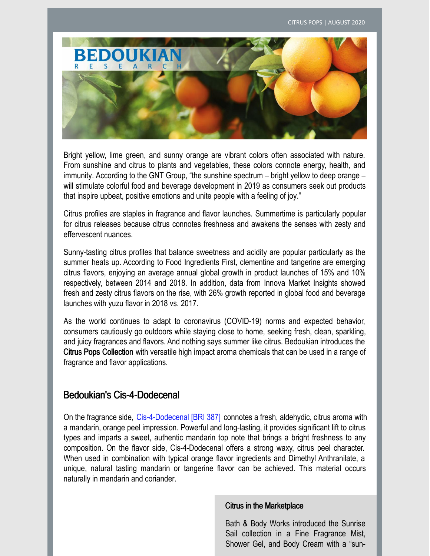

Bright yellow, lime green, and sunny orange are vibrant colors often associated with nature. From sunshine and citrus to plants and vegetables, these colors connote energy, health, and immunity. According to the GNT Group, "the sunshine spectrum – bright yellow to deep orange – will stimulate colorful food and beverage development in 2019 as consumers seek out products that inspire upbeat, positive emotions and unite people with a feeling of joy."

Citrus profiles are staples in fragrance and flavor launches. Summertime is particularly popular for citrus releases because citrus connotes freshness and awakens the senses with zesty and effervescent nuances.

Sunny-tasting citrus profiles that balance sweetness and acidity are popular particularly as the summer heats up. According to Food Ingredients First, clementine and tangerine are emerging citrus flavors, enjoying an average annual global growth in product launches of 15% and 10% respectively, between 2014 and 2018. In addition, data from Innova Market Insights showed fresh and zesty citrus flavors on the rise, with 26% growth reported in global food and beverage launches with yuzu flavor in 2018 vs. 2017.

As the world continues to adapt to coronavirus (COVID-19) norms and expected behavior, consumers cautiously go outdoors while staying close to home, seeking fresh, clean, sparkling, and juicy fragrances and flavors. And nothing says summer like citrus. Bedoukian introduces the Citrus Pops Collection with versatile high impact aroma chemicals that can be used in a range of fragrance and flavor applications.

## Bedoukian's Cis-4-Dodecenal

On the fragrance side, [Cis-4-Dodecenal](https://search.bedoukian.com/flavorfragrance/ff_product.asp?method=POP&id=387) [BRI 387] connotes a fresh, aldehydic, citrus aroma with a mandarin, orange peel impression. Powerful and long-lasting, it provides significant lift to citrus types and imparts a sweet, authentic mandarin top note that brings a bright freshness to any composition. On the flavor side, Cis-4-Dodecenal offers a strong waxy, citrus peel character. When used in combination with typical orange flavor ingredients and Dimethyl Anthranilate, a unique, natural tasting mandarin or tangerine flavor can be achieved. This material occurs naturally in mandarin and coriander.

#### Citrus in the Marketplace

Bath & Body Works introduced the Sunrise Sail collection in a Fine Fragrance Mist, Shower Gel, and Body Cream with a "sun-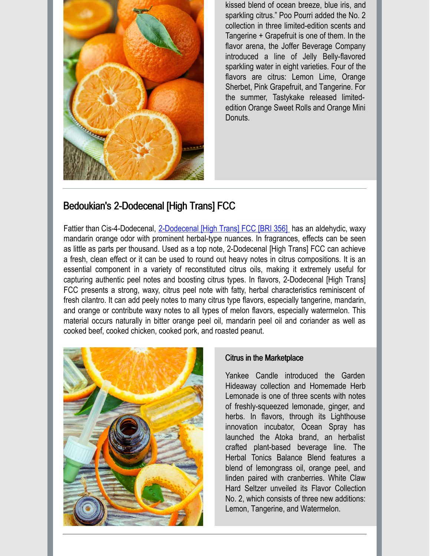

kissed blend of ocean breeze, blue iris, and sparkling citrus." Poo Pourri added the No. 2 collection in three limited-edition scents and Tangerine + Grapefruit is one of them. In the flavor arena, the Joffer Beverage Company introduced a line of Jelly Belly-flavored sparkling water in eight varieties. Four of the flavors are citrus: Lemon Lime, Orange Sherbet, Pink Grapefruit, and Tangerine. For the summer, Tastykake released limitededition Orange Sweet Rolls and Orange Mini Donuts.

## Bedoukian's 2-Dodecenal [High Trans] FCC

Fattier than Cis-4-Dodecenal, [2-Dodecenal](https://search.bedoukian.com/flavorfragrance/ff_product.asp?method=POP&id=356) [High Trans] FCC [BRI 356] has an aldehydic, waxy mandarin orange odor with prominent herbal-type nuances. In fragrances, effects can be seen as little as parts per thousand. Used as a top note, 2-Dodecenal [High Trans] FCC can achieve a fresh, clean effect or it can be used to round out heavy notes in citrus compositions. It is an essential component in a variety of reconstituted citrus oils, making it extremely useful for capturing authentic peel notes and boosting citrus types. In flavors, 2-Dodecenal [High Trans] FCC presents a strong, waxy, citrus peel note with fatty, herbal characteristics reminiscent of fresh cilantro. It can add peely notes to many citrus type flavors, especially tangerine, mandarin, and orange or contribute waxy notes to all types of melon flavors, especially watermelon. This material occurs naturally in bitter orange peel oil, mandarin peel oil and coriander as well as cooked beef, cooked chicken, cooked pork, and roasted peanut.



### Citrus in the Marketplace

Yankee Candle introduced the Garden Hideaway collection and Homemade Herb Lemonade is one of three scents with notes of freshly-squeezed lemonade, ginger, and herbs. In flavors, through its Lighthouse innovation incubator, Ocean Spray has launched the Atoka brand, an herbalist crafted plant-based beverage line. The Herbal Tonics Balance Blend features a blend of lemongrass oil, orange peel, and linden paired with cranberries. White Claw Hard Seltzer unveiled its Flavor Collection No. 2, which consists of three new additions: Lemon, Tangerine, and Watermelon.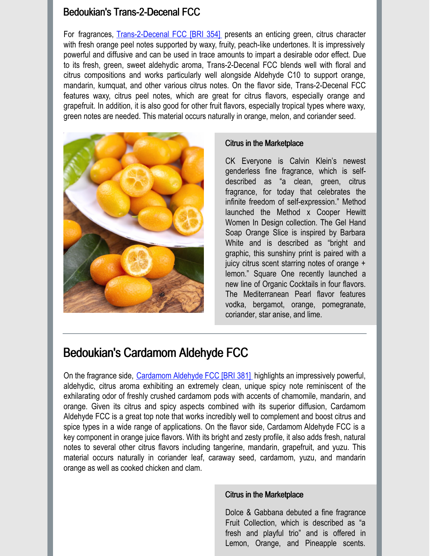## Bedoukian's Trans-2-Decenal FCC

For fragrances, [Trans-2-Decenal](https://search.bedoukian.com/flavorfragrance/ff_product.asp?method=POP&id=354) FCC [BRI 354] presents an enticing green, citrus character with fresh orange peel notes supported by waxy, fruity, peach-like undertones. It is impressively powerful and diffusive and can be used in trace amounts to impart a desirable odor effect. Due to its fresh, green, sweet aldehydic aroma, Trans-2-Decenal FCC blends well with floral and citrus compositions and works particularly well alongside Aldehyde C10 to support orange, mandarin, kumquat, and other various citrus notes. On the flavor side, Trans-2-Decenal FCC features waxy, citrus peel notes, which are great for citrus flavors, especially orange and grapefruit. In addition, it is also good for other fruit flavors, especially tropical types where waxy, green notes are needed. This material occurs naturally in orange, melon, and coriander seed.



### Citrus in the Marketplace

CK Everyone is Calvin Klein's newest genderless fine fragrance, which is selfdescribed as "a clean, green, citrus fragrance, for today that celebrates the infinite freedom of self-expression." Method launched the Method x Cooper Hewitt Women In Design collection. The Gel Hand Soap Orange Slice is inspired by Barbara White and is described as "bright and graphic, this sunshiny print is paired with a juicy citrus scent starring notes of orange + lemon." Square One recently launched a new line of Organic Cocktails in four flavors. The Mediterranean Pearl flavor features vodka, bergamot, orange, pomegranate, coriander, star anise, and lime.

## Bedoukian's Cardamom Aldehyde FCC

On the fragrance side, [Cardamom](https://search.bedoukian.com/flavorfragrance/ff_product.asp?method=POP&id=381) Aldehyde FCC [BRI 381] highlights an impressively powerful, aldehydic, citrus aroma exhibiting an extremely clean, unique spicy note reminiscent of the exhilarating odor of freshly crushed cardamom pods with accents of chamomile, mandarin, and orange. Given its citrus and spicy aspects combined with its superior diffusion, Cardamom Aldehyde FCC is a great top note that works incredibly well to complement and boost citrus and spice types in a wide range of applications. On the flavor side, Cardamom Aldehyde FCC is a key component in orange juice flavors. With its bright and zesty profile, it also adds fresh, natural notes to several other citrus flavors including tangerine, mandarin, grapefruit, and yuzu. This material occurs naturally in coriander leaf, caraway seed, cardamom, yuzu, and mandarin orange as well as cooked chicken and clam.

### Citrus in the Marketplace

Dolce & Gabbana debuted a fine fragrance Fruit Collection, which is described as "a fresh and playful trio" and is offered in Lemon, Orange, and Pineapple scents.